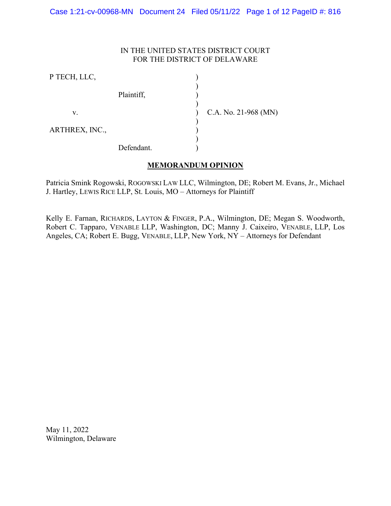### IN THE UNITED STATES DISTRICT COURT FOR THE DISTRICT OF DELAWARE

| P TECH, LLC,   |            |                      |
|----------------|------------|----------------------|
|                | Plaintiff, |                      |
| V.             |            | C.A. No. 21-968 (MN) |
| ARTHREX, INC., |            |                      |
|                | Defendant. |                      |

# **MEMORANDUM OPINION**

Patricia Smink Rogowski, ROGOWSKI LAW LLC, Wilmington, DE; Robert M. Evans, Jr., Michael J. Hartley, LEWIS RICE LLP, St. Louis, MO – Attorneys for Plaintiff

Kelly E. Farnan, RICHARDS, LAYTON & FINGER, P.A., Wilmington, DE; Megan S. Woodworth, Robert C. Tapparo, VENABLE LLP, Washington, DC; Manny J. Caixeiro, VENABLE, LLP, Los Angeles, CA; Robert E. Bugg, VENABLE, LLP, New York, NY – Attorneys for Defendant

May 11, 2022 Wilmington, Delaware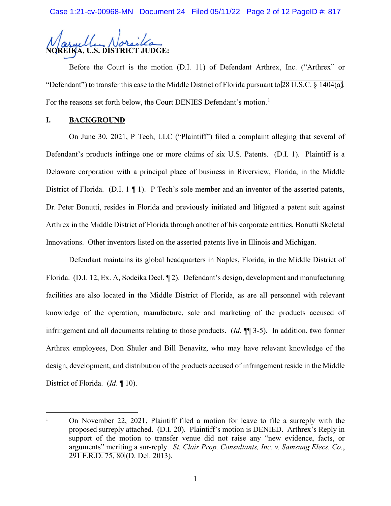Case 1:21-cv-00968-MN Document 24 Filed 05/11/22 Page 2 of 12 PageID #: 817



Before the Court is the motion (D.I. 11) of Defendant Arthrex, Inc. ("Arthrex" or "Defendant") to transfer this case to the Middle District of Florida pursuant to [28 U.S.C. §](http://www.google.com/search?q=28+u.s.c.++1404(a)) 1404(a). For the reasons set forth below, the Court DENIES Defendant's motion.<sup>[1](#page-1-0)</sup>

### **I. BACKGROUND**

On June 30, 2021, P Tech, LLC ("Plaintiff") filed a complaint alleging that several of Defendant's products infringe one or more claims of six U.S. Patents. (D.I. 1). Plaintiff is a Delaware corporation with a principal place of business in Riverview, Florida, in the Middle District of Florida. (D.I. 1  $\P$  1). P Tech's sole member and an inventor of the asserted patents, Dr. Peter Bonutti, resides in Florida and previously initiated and litigated a patent suit against Arthrex in the Middle District of Florida through another of his corporate entities, Bonutti Skeletal Innovations. Other inventors listed on the asserted patents live in Illinois and Michigan.

Defendant maintains its global headquarters in Naples, Florida, in the Middle District of Florida. (D.I. 12, Ex. A, Sodeika Decl. ¶ 2). Defendant's design, development and manufacturing facilities are also located in the Middle District of Florida, as are all personnel with relevant knowledge of the operation, manufacture, sale and marketing of the products accused of infringement and all documents relating to those products. (*Id.* ¶¶ 3-5). In addition, **t**wo former Arthrex employees, Don Shuler and Bill Benavitz, who may have relevant knowledge of the design, development, and distribution of the products accused of infringement reside in the Middle District of Florida. (*Id*. ¶ 10).

<span id="page-1-0"></span><sup>&</sup>lt;sup>1</sup> On November 22, 2021, Plaintiff filed a motion for leave to file a surreply with the proposed surreply attached. (D.I. 20). Plaintiff's motion is DENIED. Arthrex's Reply in support of the motion to transfer venue did not raise any "new evidence, facts, or arguments" meriting a sur-reply. *St. Clair Prop. Consultants, Inc. v. Samsung Elecs. Co.*, [291 F.R.D. 75, 80](http://scholar.google.com/scholar?q=291++f.r.d.++75&btnG=&hl=en&as_sdt=6) (D. Del. 2013).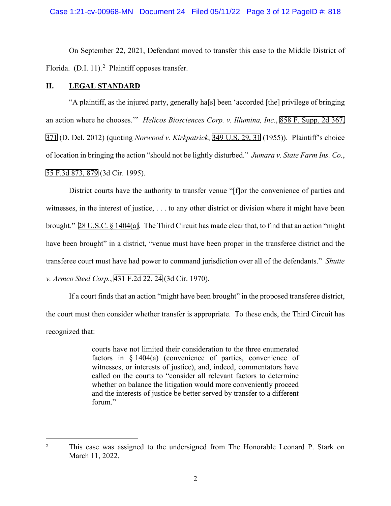On September 22, 2021, Defendant moved to transfer this case to the Middle District of Florida.  $(D.I. 11).<sup>2</sup>$  $(D.I. 11).<sup>2</sup>$  $(D.I. 11).<sup>2</sup>$  Plaintiff opposes transfer.

### **II. LEGAL STANDARD**

"A plaintiff, as the injured party, generally ha[s] been 'accorded [the] privilege of bringing an action where he chooses.'" *Helicos Biosciences Corp. v. Illumina, Inc.*, [858 F. Supp. 2d 367,](http://scholar.google.com/scholar?q=858+f.+supp.+2d+367&btnG=&hl=en&as_sdt=6) [371](http://scholar.google.com/scholar?q=858+f.+supp.+2d+367&btnG=&hl=en&as_sdt=6) (D. Del. 2012) (quoting *Norwood v. Kirkpatrick*, [349 U.S. 29, 31](http://scholar.google.com/scholar?q=349+u.s.+29&btnG=&hl=en&as_sdt=6) (1955)). Plaintiff's choice of location in bringing the action "should not be lightly disturbed." *Jumara v. State Farm Ins. Co.*, [55 F.3d 873, 879](http://scholar.google.com/scholar?q=55+f.3d+873&btnG=&hl=en&as_sdt=6) (3d Cir. 1995).

District courts have the authority to transfer venue "[f]or the convenience of parties and witnesses, in the interest of justice, . . . to any other district or division where it might have been brought." [28 U.S.C. § 1404\(a\)](http://www.google.com/search?q=28+u.s.c.++1404(a)). The Third Circuit has made clear that, to find that an action "might have been brought" in a district, "venue must have been proper in the transferee district and the transferee court must have had power to command jurisdiction over all of the defendants." *Shutte v. Armco Steel Corp.*, [431 F.2d 22, 24](http://scholar.google.com/scholar?q=431+f.2d+22&btnG=&hl=en&as_sdt=6) (3d Cir. 1970).

If a court finds that an action "might have been brought" in the proposed transferee district, the court must then consider whether transfer is appropriate. To these ends, the Third Circuit has recognized that:

> courts have not limited their consideration to the three enumerated factors in § 1404(a) (convenience of parties, convenience of witnesses, or interests of justice), and, indeed, commentators have called on the courts to "consider all relevant factors to determine whether on balance the litigation would more conveniently proceed and the interests of justice be better served by transfer to a different forum."

<span id="page-2-0"></span><sup>&</sup>lt;sup>2</sup> This case was assigned to the undersigned from The Honorable Leonard P. Stark on March 11, 2022.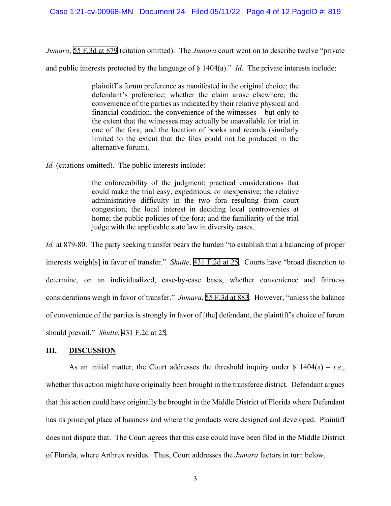*Jumara*, 55 F*.*3d [at 879](http://scholar.google.com/scholar?q=55+f.3d+873&btnG=&hl=en&as_sdt=6) (citation omitted). The *Jumara* court went on to describe twelve "private

and public interests protected by the language of § 1404(a)." *Id*. The private interests include:

plaintiff's forum preference as manifested in the original choice; the defendant's preference; whether the claim arose elsewhere; the convenience of the parties as indicated by their relative physical and financial condition; the convenience of the witnesses – but only to the extent that the witnesses may actually be unavailable for trial in one of the fora; and the location of books and records (similarly limited to the extent that the files could not be produced in the alternative forum).

*Id.* (citations omitted). The public interests include:

the enforceability of the judgment; practical considerations that could make the trial easy, expeditious, or inexpensive; the relative administrative difficulty in the two fora resulting from court congestion; the local interest in deciding local controversies at home; the public policies of the fora; and the familiarity of the trial judge with the applicable state law in diversity cases.

*Id.* at 879-80. The party seeking transfer bears the burden "to establish that a balancing of proper interests weigh[s] in favor of transfer." *Shutte*, [431 F.2d at 25](http://scholar.google.com/scholar?q=431+f.2d+22&btnG=&hl=en&as_sdt=6). Courts have "broad discretion to determine, on an individualized, case-by-case basis, whether convenience and fairness considerations weigh in favor of transfer." *Jumara*, [55 F.3d at 883.](http://scholar.google.com/scholar?q=55+f.3d+873&btnG=&hl=en&as_sdt=6) However, "unless the balance of convenience of the parties is strongly in favor of [the] defendant, the plaintiff's choice of forum should prevail." *Shutte*, [431 F.2d at](http://scholar.google.com/scholar?q=431+f.2d+22&btnG=&hl=en&as_sdt=6) 25.

### **III. DISCUSSION**

As an initial matter, the Court addresses the threshold inquiry under  $\S$  1404(a) – *i.e.*, whether this action might have originally been brought in the transferee district. Defendant argues that this action could have originally be brought in the Middle District of Florida where Defendant has its principal place of business and where the products were designed and developed. Plaintiff does not dispute that. The Court agrees that this case could have been filed in the Middle District of Florida, where Arthrex resides. Thus, Court addresses the *Jumara* factors in turn below.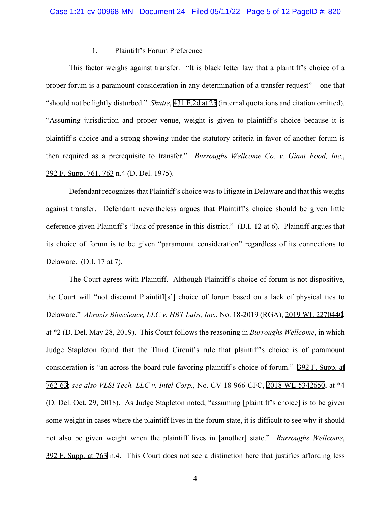#### 1. Plaintiff's Forum Preference

This factor weighs against transfer. "It is black letter law that a plaintiff's choice of a proper forum is a paramount consideration in any determination of a transfer request" – one that "should not be lightly disturbed." *Shutte*, [431 F.2d at 25](http://scholar.google.com/scholar?q=431+f.2d+22&btnG=&hl=en&as_sdt=6) (internal quotations and citation omitted). "Assuming jurisdiction and proper venue, weight is given to plaintiff's choice because it is plaintiff's choice and a strong showing under the statutory criteria in favor of another forum is then required as a prerequisite to transfer." *Burroughs Wellcome Co. v. Giant Food, Inc.*, 392 F. [Supp. 761, 763](http://scholar.google.com/scholar?q=392+f.+supp.+761&btnG=&hl=en&as_sdt=6) n.4 (D. Del. 1975).

Defendant recognizes that Plaintiff's choice was to litigate in Delaware and that this weighs against transfer. Defendant nevertheless argues that Plaintiff's choice should be given little deference given Plaintiff's "lack of presence in this district." (D.I. 12 at 6). Plaintiff argues that its choice of forum is to be given "paramount consideration" regardless of its connections to Delaware. (D.I. 17 at 7).

The Court agrees with Plaintiff. Although Plaintiff's choice of forum is not dispositive, the Court will "not discount Plaintiff[s'] choice of forum based on a lack of physical ties to Delaware." *Abraxis Bioscience, LLC v. HBT Labs, Inc.*, No. 18-2019 (RGA), [2019 WL 2270440](https://www.westlaw.com/Link/Document/FullText?rs=USCLink&vr=3.0&findType=Y&cite=2019%2Bwl%2B2270440&refPos=2270440&refPosType=s&clientid=USCourts), at \*2 (D. Del. May 28, 2019). This Court follows the reasoning in *Burroughs Wellcome*, in which Judge Stapleton found that the Third Circuit's rule that plaintiff's choice is of paramount consideration is "an across-the-board rule favoring plaintiff's choice of forum." 392 F. [Supp. at](http://scholar.google.com/scholar?q=392+f.+supp.+761&btnG=&hl=en&as_sdt=6) [762-63;](http://scholar.google.com/scholar?q=392+f.+supp.+761&btnG=&hl=en&as_sdt=6) *see also VLSI Tech. LLC v. Intel Corp.*, No. CV 18-966-CFC, [2018 WL 5342650](https://www.westlaw.com/Link/Document/FullText?rs=USCLink&vr=3.0&findType=Y&cite=2018%2Bwl%2B5342650&refPos=5342650&refPosType=s&clientid=USCourts), at \*4 (D. Del. Oct. 29, 2018). As Judge Stapleton noted, "assuming [plaintiff's choice] is to be given some weight in cases where the plaintiff lives in the forum state, it is difficult to see why it should not also be given weight when the plaintiff lives in [another] state." *Burroughs Wellcome*, 392 F. [Supp. at 763](http://scholar.google.com/scholar?q=392+f.+supp.+761&btnG=&hl=en&as_sdt=6) n.4. This Court does not see a distinction here that justifies affording less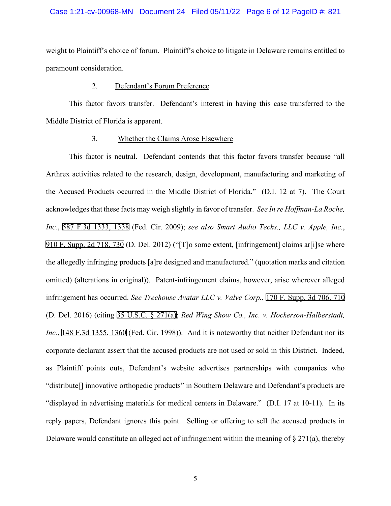#### Case 1:21-cv-00968-MN Document 24 Filed 05/11/22 Page 6 of 12 PageID #: 821

weight to Plaintiff's choice of forum. Plaintiff's choice to litigate in Delaware remains entitled to paramount consideration.

### 2. Defendant's Forum Preference

This factor favors transfer. Defendant's interest in having this case transferred to the Middle District of Florida is apparent.

#### 3. Whether the Claims Arose Elsewhere

This factor is neutral. Defendant contends that this factor favors transfer because "all Arthrex activities related to the research, design, development, manufacturing and marketing of the Accused Products occurred in the Middle District of Florida." (D.I. 12 at 7). The Court acknowledges that these facts may weigh slightly in favor of transfer. *See In re Hoffman-La Roche, Inc.*, [587 F.3d 1333, 1338](http://scholar.google.com/scholar?q=587+f.3d+1333&btnG=&hl=en&as_sdt=6) (Fed. Cir. 2009); *see also Smart Audio Techs., LLC v. Apple, Inc.*, 910 F. [Supp. 2d 718, 730](http://scholar.google.com/scholar?q=910+f.+supp.+2d+718&btnG=&hl=en&as_sdt=6) (D. Del. 2012) ("[T]o some extent, [infringement] claims ar[i]se where the allegedly infringing products [a]re designed and manufactured." (quotation marks and citation omitted) (alterations in original)). Patent-infringement claims, however, arise wherever alleged infringement has occurred. *See Treehouse Avatar LLC v. Valve Corp.*, [170 F. Supp. 3d 706, 710](http://scholar.google.com/scholar?q=170+f.+supp.+3d+706&btnG=&hl=en&as_sdt=6) (D. Del. 2016) (citing [35 U.S.C. § 271\(a\)](http://www.google.com/search?q=35+u.s.c.++271(a)); *Red Wing Show Co., Inc. v. Hockerson-Halberstadt, Inc.*, [148 F.3d 1355, 1360](http://scholar.google.com/scholar?q=148+f.3d+1355&btnG=&hl=en&as_sdt=6) (Fed. Cir. 1998)). And it is noteworthy that neither Defendant nor its corporate declarant assert that the accused products are not used or sold in this District. Indeed, as Plaintiff points outs, Defendant's website advertises partnerships with companies who "distribute[] innovative orthopedic products" in Southern Delaware and Defendant's products are "displayed in advertising materials for medical centers in Delaware." (D.I. 17 at 10-11). In its reply papers, Defendant ignores this point. Selling or offering to sell the accused products in Delaware would constitute an alleged act of infringement within the meaning of  $\S 271(a)$ , thereby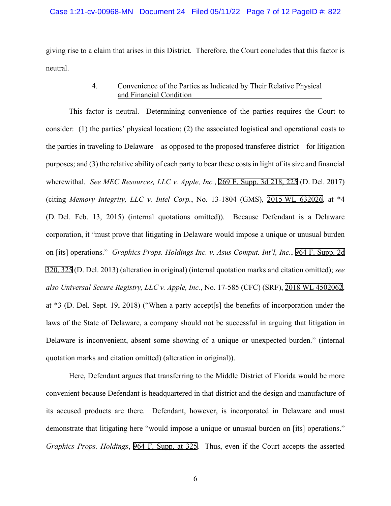#### Case 1:21-cv-00968-MN Document 24 Filed 05/11/22 Page 7 of 12 PageID #: 822

giving rise to a claim that arises in this District. Therefore, the Court concludes that this factor is neutral.

## 4. Convenience of the Parties as Indicated by Their Relative Physical and Financial Condition

This factor is neutral. Determining convenience of the parties requires the Court to consider: (1) the parties' physical location; (2) the associated logistical and operational costs to the parties in traveling to Delaware – as opposed to the proposed transferee district – for litigation purposes; and (3) the relative ability of each party to bear these costs in light of its size and financial wherewithal. *See MEC Resources, LLC v. Apple, Inc.*, [269 F. Supp. 3d 218, 225](http://scholar.google.com/scholar?q=269+f.+supp.+3d+218&btnG=&hl=en&as_sdt=6) (D. Del. 2017) (citing *Memory Integrity, LLC v. Intel Corp.*, No. 13-1804 (GMS), 2015 [WL 632026,](https://www.westlaw.com/Link/Document/FullText?rs=USCLink&vr=3.0&findType=Y&cite=2015%2Bwl%2B632026&refPos=632026&refPosType=s&clientid=USCourts) at \*4 (D. Del. Feb. 13, 2015) (internal quotations omitted)). Because Defendant is a Delaware corporation, it "must prove that litigating in Delaware would impose a unique or unusual burden on [its] operations." *Graphics Props. Holdings Inc. v. Asus Comput. Int'l, Inc.*, [964 F. Supp. 2d](http://scholar.google.com/scholar?q=964+f.+supp.+2d++320&btnG=&hl=en&as_sdt=6) [320, 325](http://scholar.google.com/scholar?q=964+f.+supp.+2d++320&btnG=&hl=en&as_sdt=6) (D. Del. 2013) (alteration in original) (internal quotation marks and citation omitted); *see also Universal Secure Registry, LLC v. Apple, Inc.*, No. 17-585 (CFC) (SRF), [2018 WL 4502062,](https://www.westlaw.com/Link/Document/FullText?rs=USCLink&vr=3.0&findType=Y&cite=2018%2Bwl%2B4502062&refPos=4502062&refPosType=s&clientid=USCourts) at \*3 (D. Del. Sept. 19, 2018) ("When a party accept[s] the benefits of incorporation under the laws of the State of Delaware, a company should not be successful in arguing that litigation in Delaware is inconvenient, absent some showing of a unique or unexpected burden." (internal quotation marks and citation omitted) (alteration in original)).

Here, Defendant argues that transferring to the Middle District of Florida would be more convenient because Defendant is headquartered in that district and the design and manufacture of its accused products are there. Defendant, however, is incorporated in Delaware and must demonstrate that litigating here "would impose a unique or unusual burden on [its] operations." *Graphics Props. Holdings*, [964 F. Supp. at 325.](http://scholar.google.com/scholar?q=964+f.+supp.+325&btnG=&hl=en&as_sdt=6) Thus, even if the Court accepts the asserted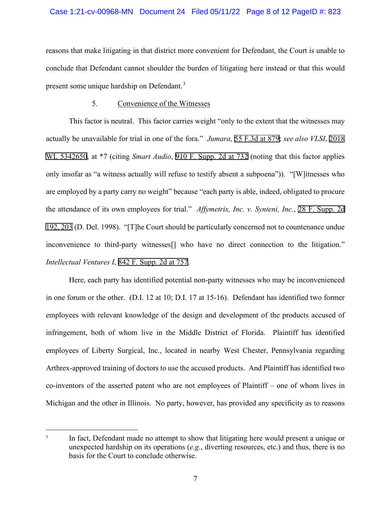### Case 1:21-cv-00968-MN Document 24 Filed 05/11/22 Page 8 of 12 PageID #: 823

reasons that make litigating in that district more convenient for Defendant, the Court is unable to conclude that Defendant cannot shoulder the burden of litigating here instead or that this would present some unique hardship on Defendant.<sup>[3](#page-7-0)</sup>

### 5. Convenience of the Witnesses

This factor is neutral. This factor carries weight "only to the extent that the witnesses may actually be unavailable for trial in one of the fora." *Jumara*, [55 F.3d at 879;](http://scholar.google.com/scholar?q=55+f.3d+873&btnG=&hl=en&as_sdt=6) *see also VLSI*, [2018](https://www.westlaw.com/Link/Document/FullText?rs=USCLink&vr=3.0&findType=Y&cite=2018%2B%2Bwl%2B5342650&refPos=5342650&refPosType=s&clientid=USCourts) [WL 5342650](https://www.westlaw.com/Link/Document/FullText?rs=USCLink&vr=3.0&findType=Y&cite=2018%2B%2Bwl%2B5342650&refPos=5342650&refPosType=s&clientid=USCourts), at \*7 (citing *Smart Audio*, [910 F. Supp. 2d at 732](http://scholar.google.com/scholar?q=910+f.+supp.+2d+718&btnG=&hl=en&as_sdt=6) (noting that this factor applies only insofar as "a witness actually will refuse to testify absent a subpoena")). "[W]itnesses who are employed by a party carry no weight" because "each party is able, indeed, obligated to procure the attendance of its own employees for trial." *Affymetrix, Inc. v. Synteni, Inc.*, [28 F. Supp. 2d](http://scholar.google.com/scholar?q=28+f.+supp.+2d++192&btnG=&hl=en&as_sdt=6) [192, 203](http://scholar.google.com/scholar?q=28+f.+supp.+2d++192&btnG=&hl=en&as_sdt=6) (D. Del. 1998). "[T]he Court should be particularly concerned not to countenance undue inconvenience to third-party witnesses[] who have no direct connection to the litigation." *Intellectual Ventures I*, [842 F. Supp. 2d at 757](http://scholar.google.com/scholar?q=842+f.+supp.+2d+757&btnG=&hl=en&as_sdt=6).

Here, each party has identified potential non-party witnesses who may be inconvenienced in one forum or the other. (D.I. 12 at 10; D.I. 17 at 15-16). Defendant has identified two former employees with relevant knowledge of the design and development of the products accused of infringement, both of whom live in the Middle District of Florida. Plaintiff has identified employees of Liberty Surgical, Inc., located in nearby West Chester, Pennsylvania regarding Arthrex-approved training of doctors to use the accused products. And Plaintiff has identified two co-inventors of the asserted patent who are not employees of Plaintiff – one of whom lives in Michigan and the other in Illinois. No party, however, has provided any specificity as to reasons

<span id="page-7-0"></span><sup>&</sup>lt;sup>3</sup> In fact, Defendant made no attempt to show that litigating here would present a unique or unexpected hardship on its operations (*e.g.*, diverting resources, etc.) and thus, there is no basis for the Court to conclude otherwise.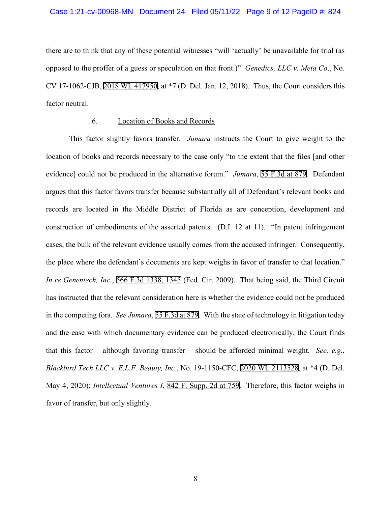#### Case 1:21-cv-00968-MN Document 24 Filed 05/11/22 Page 9 of 12 PageID #: 824

there are to think that any of these potential witnesses "will 'actually' be unavailable for trial (as opposed to the proffer of a guess or speculation on that front.)" *Genedics, LLC v. Meta Co*., No. CV 17-1062-CJB, [2018 WL 417950](https://www.westlaw.com/Link/Document/FullText?rs=USCLink&vr=3.0&findType=Y&cite=2018%2Bwl%2B417950&refPos=417950&refPosType=s&clientid=USCourts), at \*7 (D. Del. Jan. 12, 2018). Thus, the Court considers this factor neutral.

### 6. Location of Books and Records

This factor slightly favors transfer. *Jumara* instructs the Court to give weight to the location of books and records necessary to the case only "to the extent that the files [and other evidence] could not be produced in the alternative forum." *Jumara*, [55 F.3d at 879.](http://scholar.google.com/scholar?q=55+f.3d+873&btnG=&hl=en&as_sdt=6) Defendant argues that this factor favors transfer because substantially all of Defendant's relevant books and records are located in the Middle District of Florida as are conception, development and construction of embodiments of the asserted patents. (D.I. 12 at 11). "In patent infringement cases, the bulk of the relevant evidence usually comes from the accused infringer. Consequently, the place where the defendant's documents are kept weighs in favor of transfer to that location." *In re Genentech, Inc.*, [566 F.3d 1338, 1345](http://scholar.google.com/scholar?q=566+f.3d+1338&btnG=&hl=en&as_sdt=6) (Fed. Cir. 2009). That being said, the Third Circuit has instructed that the relevant consideration here is whether the evidence could not be produced in the competing fora. *See Jumara*, [55 F.3d at 879.](http://scholar.google.com/scholar?q=55+f.3d+873&btnG=&hl=en&as_sdt=6) With the state of technology in litigation today and the ease with which documentary evidence can be produced electronically, the Court finds that this factor – although favoring transfer – should be afforded minimal weight. *See, e.g.*, *Blackbird Tech LLC v. E.L.F. Beauty, Inc.*, No. 19-1150-CFC, [2020 WL 2113528,](https://www.westlaw.com/Link/Document/FullText?rs=USCLink&vr=3.0&findType=Y&cite=2020%2Bwl%2B2113528&refPos=2113528&refPosType=s&clientid=USCourts) at \*4 (D. Del. May 4, 2020); *Intellectual Ventures I*, [842 F. Supp. 2d at 759.](http://scholar.google.com/scholar?q=842+f.+supp.+2d+759&btnG=&hl=en&as_sdt=6) Therefore, this factor weighs in favor of transfer, but only slightly.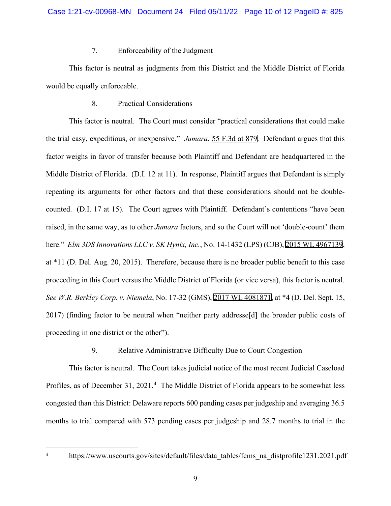## 7. Enforceability of the Judgment

This factor is neutral as judgments from this District and the Middle District of Florida would be equally enforceable.

## 8. Practical Considerations

This factor is neutral. The Court must consider "practical considerations that could make the trial easy, expeditious, or inexpensive." *Jumara*, [55 F.3d at 879.](http://scholar.google.com/scholar?q=55+f.3d+873&btnG=&hl=en&as_sdt=6) Defendant argues that this factor weighs in favor of transfer because both Plaintiff and Defendant are headquartered in the Middle District of Florida. (D.I. 12 at 11). In response, Plaintiff argues that Defendant is simply repeating its arguments for other factors and that these considerations should not be doublecounted. (D.I. 17 at 15). The Court agrees with Plaintiff. Defendant's contentions "have been raised, in the same way, as to other *Jumara* factors, and so the Court will not 'double-count' them here." *Elm 3DS Innovations LLC v. SK Hynix, Inc.*, No. 14-1432 (LPS) (CJB), [2015 WL 4967139,](https://www.westlaw.com/Link/Document/FullText?rs=USCLink&vr=3.0&findType=Y&cite=2015%2Bwl%2B4967139&refPos=4967139&refPosType=s&clientid=USCourts) at \*11 (D. Del. Aug. 20, 2015). Therefore, because there is no broader public benefit to this case proceeding in this Court versus the Middle District of Florida (or vice versa), this factor is neutral. *See W.R. Berkley Corp. v. Niemela*, No. 17-32 (GMS), [2017 WL 4081871,](https://www.westlaw.com/Link/Document/FullText?rs=USCLink&vr=3.0&findType=Y&cite=2017%2Bwl%2B4081871&refPos=4081871&refPosType=s&clientid=USCourts) at \*4 (D. Del. Sept. 15, 2017) (finding factor to be neutral when "neither party addresse[d] the broader public costs of proceeding in one district or the other").

# 9. Relative Administrative Difficulty Due to Court Congestion

This factor is neutral. The Court takes judicial notice of the most recent Judicial Caseload Profiles, as of December 31, 2021.<sup>[4](#page-9-0)</sup> The Middle District of Florida appears to be somewhat less congested than this District: Delaware reports 600 pending cases per judgeship and averaging 36.5 months to trial compared with 573 pending cases per judgeship and 28.7 months to trial in the

<span id="page-9-0"></span><sup>&</sup>lt;sup>4</sup> https://www.uscourts.gov/sites/default/files/data\_tables/fcms\_na\_distprofile1231.2021.pdf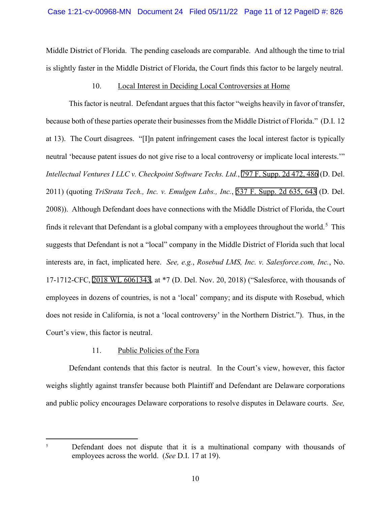Middle District of Florida. The pending caseloads are comparable. And although the time to trial is slightly faster in the Middle District of Florida, the Court finds this factor to be largely neutral.

### 10. Local Interest in Deciding Local Controversies at Home

This factor is neutral. Defendant argues that this factor "weighs heavily in favor of transfer, because both of these parties operate their businesses from the Middle District of Florida." (D.I. 12 at 13). The Court disagrees. "[I]n patent infringement cases the local interest factor is typically neutral 'because patent issues do not give rise to a local controversy or implicate local interests.'" *Intellectual Ventures I LLC v. Checkpoint Software Techs. Ltd.*, [797 F. Supp. 2d 472, 486](http://scholar.google.com/scholar?q=797+f.+supp.+2d+472&btnG=&hl=en&as_sdt=6) (D. Del. 2011) (quoting *TriStrata Tech., Inc. v. Emulgen Labs., Inc.*, [537 F. Supp. 2d 635, 643](http://scholar.google.com/scholar?q=537+f.+supp.+2d+635&btnG=&hl=en&as_sdt=6) (D. Del. 2008)). Although Defendant does have connections with the Middle District of Florida, the Court finds it relevant that Defendant is a global company with a employees throughout the world.<sup>[5](#page-10-0)</sup> This suggests that Defendant is not a "local" company in the Middle District of Florida such that local interests are, in fact, implicated here. *See, e.g.*, *Rosebud LMS, Inc. v. Salesforce.com, Inc.*, No. 17-1712-CFC, [2018 WL 6061343](https://www.westlaw.com/Link/Document/FullText?rs=USCLink&vr=3.0&findType=Y&cite=2018%2Bwl%2B6061343&refPos=6061343&refPosType=s&clientid=USCourts), at \*7 (D. Del. Nov. 20, 2018) ("Salesforce, with thousands of employees in dozens of countries, is not a 'local' company; and its dispute with Rosebud, which does not reside in California, is not a 'local controversy' in the Northern District."). Thus, in the Court's view, this factor is neutral.

### 11. Public Policies of the Fora

Defendant contends that this factor is neutral. In the Court's view, however, this factor weighs slightly against transfer because both Plaintiff and Defendant are Delaware corporations and public policy encourages Delaware corporations to resolve disputes in Delaware courts. *See,* 

<span id="page-10-0"></span><sup>&</sup>lt;sup>5</sup> Defendant does not dispute that it is a multinational company with thousands of employees across the world. (*See* D.I. 17 at 19).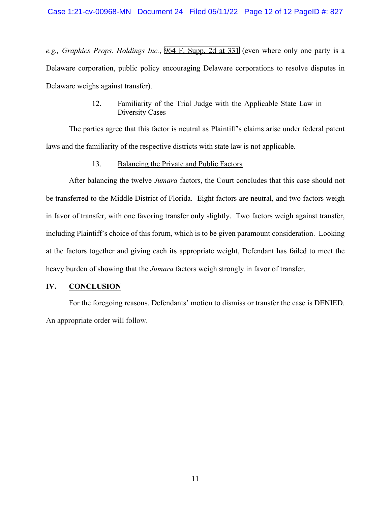*e.g., Graphics Props. Holdings Inc.*, [964 F. Supp. 2d at 331](http://scholar.google.com/scholar?q=964+f.+supp.+2d+320&btnG=&hl=en&as_sdt=6) (even where only one party is a Delaware corporation, public policy encouraging Delaware corporations to resolve disputes in Delaware weighs against transfer).

### 12. Familiarity of the Trial Judge with the Applicable State Law in Diversity Cases

The parties agree that this factor is neutral as Plaintiff's claims arise under federal patent laws and the familiarity of the respective districts with state law is not applicable.

#### 13. Balancing the Private and Public Factors

After balancing the twelve *Jumara* factors, the Court concludes that this case should not be transferred to the Middle District of Florida. Eight factors are neutral, and two factors weigh in favor of transfer, with one favoring transfer only slightly. Two factors weigh against transfer, including Plaintiff's choice of this forum, which is to be given paramount consideration. Looking at the factors together and giving each its appropriate weight, Defendant has failed to meet the heavy burden of showing that the *Jumara* factors weigh strongly in favor of transfer.

## **IV. CONCLUSION**

For the foregoing reasons, Defendants' motion to dismiss or transfer the case is DENIED. An appropriate order will follow.